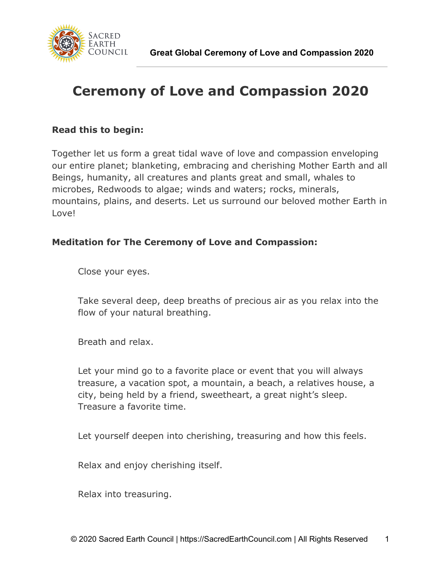

## **Ceremony of Love and Compassion 2020**

## **Read this to begin:**

Together let us form a great tidal wave of love and compassion enveloping our entire planet; blanketing, embracing and cherishing Mother Earth and all Beings, humanity, all creatures and plants great and small, whales to microbes, Redwoods to algae; winds and waters; rocks, minerals, mountains, plains, and deserts. Let us surround our beloved mother Earth in Love!

## **Meditation for The Ceremony of Love and Compassion:**

Close your eyes.

Take several deep, deep breaths of precious air as you relax into the flow of your natural breathing.

Breath and relax.

Let your mind go to a favorite place or event that you will always treasure, a vacation spot, a mountain, a beach, a relatives house, a city, being held by a friend, sweetheart, a great night's sleep. Treasure a favorite time.

Let yourself deepen into cherishing, treasuring and how this feels.

Relax and enjoy cherishing itself.

Relax into treasuring.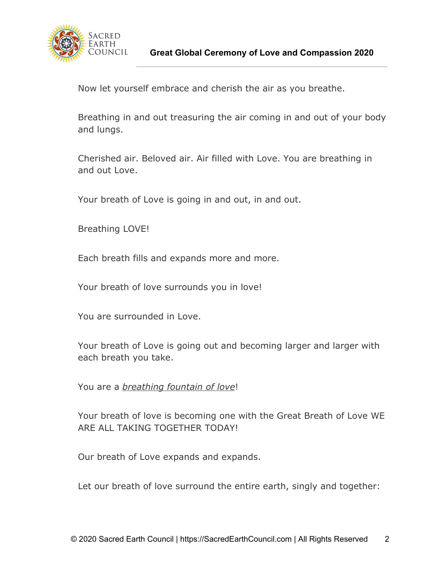

Now let yourself embrace and cherish the air as you breathe.

Breathing in and out treasuring the air coming in and out of your body and lungs.

Cherished air. Beloved air. Air filled with Love. You are breathing in and out Love.

Your breath of Love is going in and out, in and out.

Breathing LOVE!

Each breath fills and expands more and more.

Your breath of love surrounds you in love!

You are surrounded in Love.

Your breath of Love is going out and becoming larger and larger with each breath you take.

You are a *breathing fountain of love*!

Your breath of love is becoming one with the Great Breath of Love WE ARE ALL TAKING TOGETHER TODAY!

Our breath of Love expands and expands.

Let our breath of love surround the entire earth, singly and together: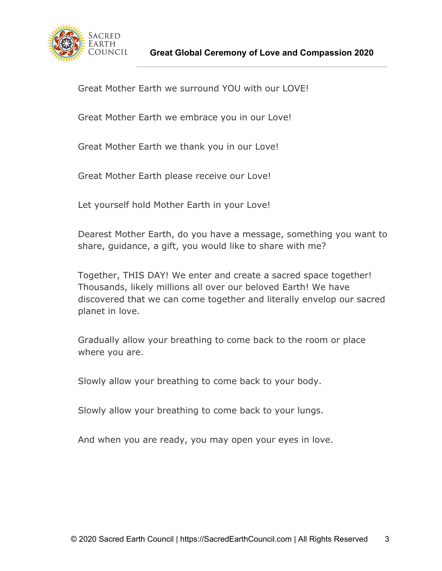

Great Mother Earth we surround YOU with our LOVE!

Great Mother Earth we embrace you in our Love!

Great Mother Earth we thank you in our Love!

Great Mother Earth please receive our Love!

Let yourself hold Mother Earth in your Love!

Dearest Mother Earth, do you have a message, something you want to share, guidance, a gift, you would like to share with me?

Together, THIS DAY! We enter and create a sacred space together! Thousands, likely millions all over our beloved Earth! We have discovered that we can come together and literally envelop our sacred planet in love.

Gradually allow your breathing to come back to the room or place where you are.

Slowly allow your breathing to come back to your body.

Slowly allow your breathing to come back to your lungs.

And when you are ready, you may open your eyes in love.